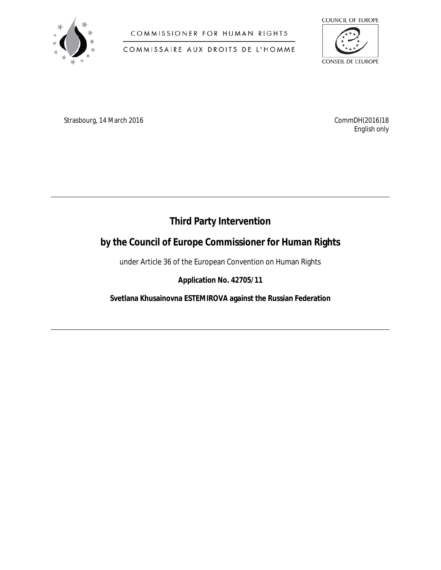

COMMISSIONER FOR HUMAN RIGHTS

COMMISSAIRE AUX DROITS DE L'HOMME



Strasbourg, 14 March 2016 **CommDH**(2016)18

*English only*

## **Third Party Intervention**

**by the Council of Europe Commissioner for Human Rights** 

under Article 36 of the European Convention on Human Rights

**Application No. 42705/11**

**Svetlana Khusainovna ESTEMIROVA against the Russian Federation**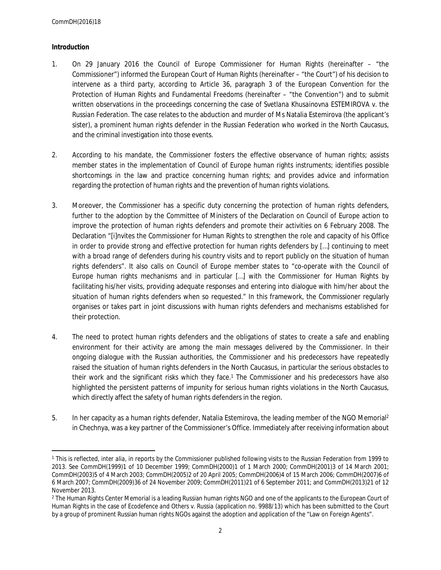## **Introduction**

- 1. On 29 January 2016 the Council of Europe Commissioner for Human Rights (hereinafter "the Commissioner") informed the European Court of Human Rights (hereinafter – "the Court") of his decision to intervene as a third party, according to Article 36, paragraph 3 of the European Convention for the Protection of Human Rights and Fundamental Freedoms (hereinafter – "the Convention") and to submit written observations in the proceedings concerning the case of *Svetlana Khusainovna ESTEMIROVA v. the Russian Federation*. The case relates to the abduction and murder of Ms Natalia Estemirova (the applicant's sister), a prominent human rights defender in the Russian Federation who worked in the North Caucasus, and the criminal investigation into those events.
- 2. According to his mandate, the Commissioner fosters the effective observance of human rights; assists member states in the implementation of Council of Europe human rights instruments; identifies possible shortcomings in the law and practice concerning human rights; and provides advice and information regarding the protection of human rights and the prevention of human rights violations.
- 3. Moreover, the Commissioner has a specific duty concerning the protection of human rights defenders, further to the adoption by the Committee of Ministers of the Declaration on Council of Europe action to improve the protection of human rights defenders and promote their activities on 6 February 2008. The Declaration "[i]nvites the Commissioner for Human Rights to strengthen the role and capacity of his Office in order to provide strong and effective protection for human rights defenders by […] continuing to meet with a broad range of defenders during his country visits and to report publicly on the situation of human rights defenders". It also calls on Council of Europe member states to "co-operate with the Council of Europe human rights mechanisms and in particular […] with the Commissioner for Human Rights by facilitating his/her visits, providing adequate responses and entering into dialogue with him/her about the situation of human rights defenders when so requested." In this framework, the Commissioner regularly organises or takes part in joint discussions with human rights defenders and mechanisms established for their protection.
- 4. The need to protect human rights defenders and the obligations of states to create a safe and enabling environment for their activity are among the main messages delivered by the Commissioner. In their ongoing dialogue with the Russian authorities, the Commissioner and his predecessors have repeatedly raised the situation of human rights defenders in the North Caucasus, in particular the serious obstacles to their work and the significant risks which they face.<sup>1</sup> The Commissioner and his predecessors have also highlighted the persistent patterns of impunity for serious human rights violations in the North Caucasus, which directly affect the safety of human rights defenders in the region.
- 5. In her capacity as a human rights defender, Natalia Estemirova, the leading member of the NGO Memorial<sup>2</sup> in Chechnya, was a key partner of the Commissioner's Office. Immediately after receiving information about

<sup>&</sup>lt;sup>1</sup> This is reflected, *inter alia*, in reports by the Commissioner published following visits to the Russian Federation from 1999 to 2013. See CommDH(1999)1 of 10 December 1999; CommDH(2000)1 of 1 March 2000; CommDH(2001)3 of 14 March 2001; CommDH(2003)5 of 4 March 2003; CommDH(2005)2 of 20 April 2005; CommDH(2006)4 of 15 March 2006; CommDH(2007)6 of 6 March 2007; CommDH(2009)36 of 24 November 2009; CommDH(2011)21 of 6 September 2011; and CommDH(2013)21 of 12 November 2013.

<sup>2</sup> The Human Rights Center Memorial is a leading Russian human rights NGO and one of the applicants to the European Court of Human Rights in the case *of Ecodefence and Others v. Russia* (application no. 9988/13) which has been submitted to the Court by a group of prominent Russian human rights NGOs against the adoption and application of the "Law on Foreign Agents".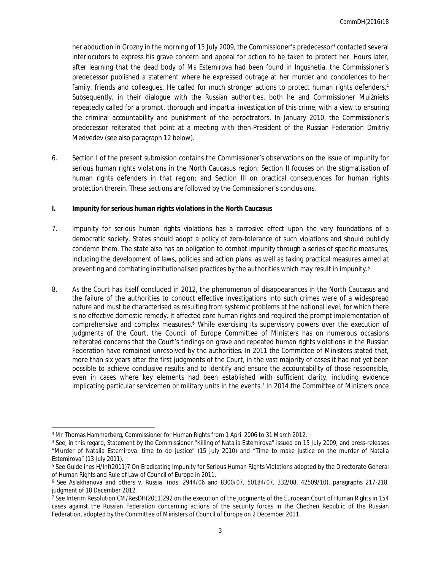her abduction in Grozny in the morning of 15 July 2009, the Commissioner's predecessor<sup>3</sup> contacted several interlocutors to express his grave concern and appeal for action to be taken to protect her. Hours later, after learning that the dead body of Ms Estemirova had been found in Ingushetia, the Commissioner's predecessor published a statement where he expressed outrage at her murder and condolences to her family, friends and colleagues. He called for much stronger actions to protect human rights defenders.<sup>4</sup> Subsequently, in their dialogue with the Russian authorities, both he and Commissioner Muižnieks repeatedly called for a prompt, thorough and impartial investigation of this crime, with a view to ensuring the criminal accountability and punishment of the perpetrators. In January 2010, the Commissioner's predecessor reiterated that point at a meeting with then-President of the Russian Federation Dmitriy Medvedev (see also paragraph 12 below).

- 6. Section I of the present submission contains the Commissioner's observations on the issue of impunity for serious human rights violations in the North Caucasus region; Section II focuses on the stigmatisation of human rights defenders in that region; and Section III on practical consequences for human rights protection therein. These sections are followed by the Commissioner's conclusions.
- **I. Impunity for serious human rights violations in the North Caucasus**
- 7. Impunity for serious human rights violations has a corrosive effect upon the very foundations of a democratic society. States should adopt a policy of zero-tolerance of such violations and should publicly condemn them. The state also has an obligation to combat impunity through a series of specific measures, including the development of laws, policies and action plans, as well as taking practical measures aimed at preventing and combating institutionalised practices by the authorities which may result in impunity.<sup>5</sup>
- 8. As the Court has itself concluded in 2012, the phenomenon of disappearances in the North Caucasus and the failure of the authorities to conduct effective investigations into such crimes were of a widespread nature and must be characterised as resulting from systemic problems at the national level, for which there is no effective domestic remedy. It affected core human rights and required the prompt implementation of comprehensive and complex measures.<sup>6</sup> While exercising its supervisory powers over the execution of judgments of the Court, the Council of Europe Committee of Ministers has on numerous occasions reiterated concerns that the Court's findings on grave and repeated human rights violations in the Russian Federation have remained unresolved by the authorities. In 2011 the Committee of Ministers stated that, more than six years after the first judgments of the Court, in the vast majority of cases it had not yet been possible to achieve conclusive results and to identify and ensure the accountability of those responsible, even in cases where key elements had been established with sufficient clarity, including evidence implicating particular servicemen or military units in the events.<sup>7</sup> In 2014 the Committee of Ministers once

 $^3$  Mr Thomas Hammarberg, Commissioner for Human Rights from 1 April 2006 to 31 March 2012.

<sup>4</sup> See, in this regard, Statement by the Commissioner "Killing of Natalia Estemirova" issued on 15 July 2009; and press-releases "Murder of Natalia Estemirova: time to do justice" (15 July 2010) and "Time to make justice on the murder of Natalia Estemirova" (13 July 2011).

<sup>5</sup> See Guidelines H/Inf(2011)7 On Eradicating Impunity for Serious Human Rights Violations adopted by the Directorate General of Human Rights and Rule of Law of Council of Europe in 2011.

<sup>6</sup> *See Aslakhanova and others v. Russia*, (nos. 2944/06 and 8300/07, 50184/07, 332/08, 42509/10), paragraphs 217-218, judgment of 18 December 2012.

<sup>7</sup> See Interim Resolution CM/ResDH(2011)292 on the execution of the judgments of the European Court of Human Rights in 154 cases against the Russian Federation concerning actions of the security forces in the Chechen Republic of the Russian Federation, adopted by the Committee of Ministers of Council of Europe on 2 December 2011.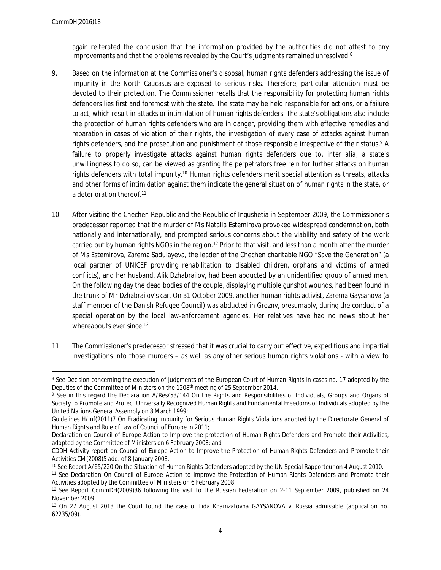again reiterated the conclusion that the information provided by the authorities did not attest to any improvements and that the problems revealed by the Court's judgments remained unresolved.<sup>8</sup>

- 9. Based on the information at the Commissioner's disposal, human rights defenders addressing the issue of impunity in the North Caucasus are exposed to serious risks. Therefore, particular attention must be devoted to their protection. The Commissioner recalls that the responsibility for protecting human rights defenders lies first and foremost with the state. The state may be held responsible for actions, or a failure to act, which result in attacks or intimidation of human rights defenders. The state's obligations also include the protection of human rights defenders who are in danger, providing them with effective remedies and reparation in cases of violation of their rights, the investigation of every case of attacks against human rights defenders, and the prosecution and punishment of those responsible irrespective of their status.<sup>9</sup> A failure to properly investigate attacks against human rights defenders due to, *inter alia*, a state's unwillingness to do so, can be viewed as granting the perpetrators free rein for further attacks on human rights defenders with total impunity.<sup>10</sup> Human rights defenders merit special attention as threats, attacks and other forms of intimidation against them indicate the general situation of human rights in the state, or a deterioration thereof.<sup>11</sup>
- 10. After visiting the Chechen Republic and the Republic of Ingushetia in September 2009, the Commissioner's predecessor reported that the murder of Ms Natalia Estemirova provoked widespread condemnation, both nationally and internationally, and prompted serious concerns about the viability and safety of the work carried out by human rights NGOs in the region.<sup>12</sup> Prior to that visit, and less than a month after the murder of Ms Estemirova, Zarema Sadulayeva, the leader of the Chechen charitable NGO "Save the Generation" (a local partner of UNICEF providing rehabilitation to disabled children, orphans and victims of armed conflicts), and her husband, Alik Dzhabrailov, had been abducted by an unidentified group of armed men. On the following day the dead bodies of the couple, displaying multiple gunshot wounds, had been found in the trunk of Mr Dzhabrailov's car. On 31 October 2009, another human rights activist, Zarema Gaysanova (a staff member of the Danish Refugee Council) was abducted in Grozny, presumably, during the conduct of a special operation by the local law-enforcement agencies. Her relatives have had no news about her whereabouts ever since.<sup>13</sup>
- 11. The Commissioner's predecessor stressed that it was crucial to carry out effective, expeditious and impartial investigations into those murders – as well as any other serious human rights violations - with a view to

<sup>&</sup>lt;sup>8</sup> See Decision concerning the execution of judgments of the European Court of Human Rights in cases no. 17 adopted by the Deputies of the Committee of Ministers on the 1208<sup>th</sup> meeting of 25 September 2014.

<sup>9</sup> See in this regard the Declaration A/Res/53/144 On the Rights and Responsibilities of Individuals, Groups and Organs of Society to Promote and Protect Universally Recognized Human Rights and Fundamental Freedoms of Individuals adopted by the United Nations General Assembly on 8 March 1999;

Guidelines H/Inf(2011)7 On Eradicating Impunity for Serious Human Rights Violations adopted by the Directorate General of Human Rights and Rule of Law of Council of Europe in 2011;

Declaration on Council of Europe Action to Improve the protection of Human Rights Defenders and Promote their Activities, adopted by the Committee of Ministers on 6 February 2008; and

CDDH Activity report on Council of Europe Action to Improve the Protection of Human Rights Defenders and Promote their Activities CM(2008)5 add. of 8 January 2008.

<sup>&</sup>lt;sup>10</sup> See Report A/65/220 On the Situation of Human Rights Defenders adopted by the UN Special Rapporteur on 4 August 2010.

<sup>&</sup>lt;sup>11</sup> See Declaration On Council of Europe Action to Improve the Protection of Human Rights Defenders and Promote their Activities adopted by the Committee of Ministers on 6 February 2008.

<sup>&</sup>lt;sup>12</sup> See Report CommDH(2009)36 following the visit to the Russian Federation on 2-11 September 2009, published on 24 November 2009.

<sup>13</sup> On 27 August 2013 the Court found the case of *Lida Khamzatovna GAYSANOVA v. Russia* admissible (application no. 62235/09).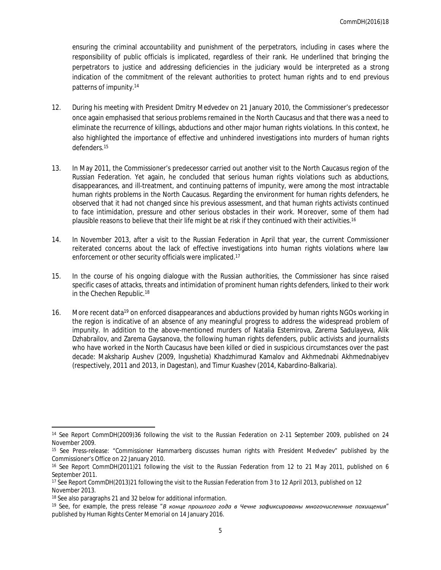ensuring the criminal accountability and punishment of the perpetrators, including in cases where the responsibility of public officials is implicated, regardless of their rank. He underlined that bringing the perpetrators to justice and addressing deficiencies in the judiciary would be interpreted as a strong indication of the commitment of the relevant authorities to protect human rights and to end previous patterns of impunity.<sup>14</sup>

- 12. During his meeting with President Dmitry Medvedev on 21 January 2010, the Commissioner's predecessor once again emphasised that serious problems remained in the North Caucasus and that there was a need to eliminate the recurrence of killings, abductions and other major human rights violations. In this context, he also highlighted the importance of effective and unhindered investigations into murders of human rights defenders.<sup>15</sup>
- 13. In May 2011, the Commissioner's predecessor carried out another visit to the North Caucasus region of the Russian Federation. Yet again, he concluded that serious human rights violations such as abductions, disappearances, and ill-treatment, and continuing patterns of impunity, were among the most intractable human rights problems in the North Caucasus. Regarding the environment for human rights defenders, he observed that it had not changed since his previous assessment, and that human rights activists continued to face intimidation, pressure and other serious obstacles in their work. Moreover, some of them had plausible reasons to believe that their life might be at risk if they continued with their activities.<sup>16</sup>
- 14. In November 2013, after a visit to the Russian Federation in April that year, the current Commissioner reiterated concerns about the lack of effective investigations into human rights violations where law enforcement or other security officials were implicated.<sup>17</sup>
- 15. In the course of his ongoing dialogue with the Russian authorities, the Commissioner has since raised specific cases of attacks, threats and intimidation of prominent human rights defenders, linked to their work in the Chechen Republic.<sup>18</sup>
- 16. More recent data<sup>19</sup> on enforced disappearances and abductions provided by human rights NGOs working in the region is indicative of an absence of any meaningful progress to address the widespread problem of impunity. In addition to the above-mentioned murders of Natalia Estemirova, Zarema Sadulayeva, Alik Dzhabrailov, and Zarema Gaysanova, the following human rights defenders, public activists and journalists who have worked in the North Caucasus have been killed or died in suspicious circumstances over the past decade: Maksharip Aushev (2009, Ingushetia) Khadzhimurad Kamalov and Akhmednabi Akhmednabiyev (respectively, 2011 and 2013, in Dagestan), and Timur Kuashev (2014, Kabardino-Balkaria).

<sup>14</sup> See Report CommDH(2009)36 following the visit to the Russian Federation on 2-11 September 2009, published on 24 November 2009.

<sup>15</sup> See Press-release: "Commissioner Hammarberg discusses human rights with President Medvedev" published by the Commissioner's Office on 22 January 2010.

<sup>&</sup>lt;sup>16</sup> See Report CommDH(2011)21 following the visit to the Russian Federation from 12 to 21 May 2011, published on 6 September 2011.

<sup>17</sup> See Report CommDH(2013)21 following the visit to the Russian Federation from 3 to 12 April 2013, published on 12 November 2013.

<sup>18</sup> See also paragraphs 21 and 32 below for additional information.

<sup>19</sup> See, for example, the press release "*В конце прошлого года в Чечне зафиксированы многочисленные похищения*" published by Human Rights Center Memorial on 14 January 2016.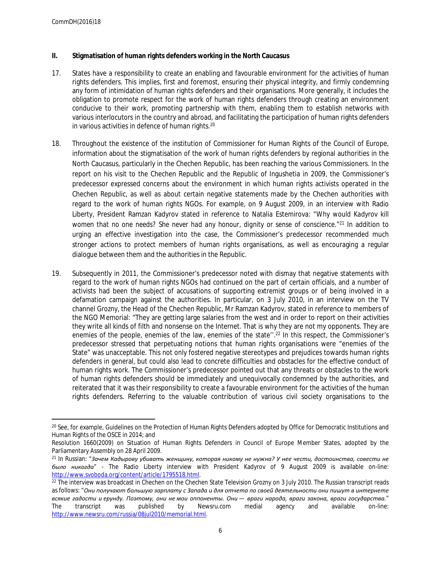- **II. Stigmatisation of human rights defenders working in the North Caucasus**
- 17. States have a responsibility to create an enabling and favourable environment for the activities of human rights defenders. This implies, first and foremost, ensuring their physical integrity, and firmly condemning any form of intimidation of human rights defenders and their organisations. More generally, it includes the obligation to promote respect for the work of human rights defenders through creating an environment conducive to their work, promoting partnership with them, enabling them to establish networks with various interlocutors in the country and abroad, and facilitating the participation of human rights defenders in various activities in defence of human rights.<sup>20</sup>
- 18. Throughout the existence of the institution of Commissioner for Human Rights of the Council of Europe, information about the stigmatisation of the work of human rights defenders by regional authorities in the North Caucasus, particularly in the Chechen Republic, has been reaching the various Commissioners*.* In the report on his visit to the Chechen Republic and the Republic of Ingushetia in 2009, the Commissioner's predecessor expressed concerns about the environment in which human rights activists operated in the Chechen Republic, as well as about certain negative statements made by the Chechen authorities with regard to the work of human rights NGOs. For example, on 9 August 2009, in an interview with Radio Liberty, President Ramzan Kadyrov stated in reference to Natalia Estemirova: "*Why would Kadyrov kill women that no one needs? She never had any honour, dignity or sense of conscience*."<sup>21</sup> In addition to urging an effective investigation into the case, the Commissioner's predecessor recommended much stronger actions to protect members of human rights organisations, as well as encouraging a regular dialogue between them and the authorities in the Republic.
- 19. Subsequently in 2011, the Commissioner's predecessor noted with dismay that negative statements with regard to the work of human rights NGOs had continued on the part of certain officials, and a number of activists had been the subject of accusations of supporting extremist groups or of being involved in a defamation campaign against the authorities. In particular, on 3 July 2010, in an interview on the TV channel *Grozny*, the Head of the Chechen Republic, Mr Ramzan Kadyrov, stated in reference to members of the NGO Memorial: "They are getting large salaries from the west and in order to report on their activities they write all kinds of filth and nonsense on the Internet. That is why they are not my opponents. They are enemies of the people, enemies of the law, enemies of the state".<sup>22</sup> In this respect, the Commissioner's predecessor stressed that perpetuating notions that human rights organisations were "enemies of the State" was unacceptable. This not only fostered negative stereotypes and prejudices towards human rights defenders in general, but could also lead to concrete difficulties and obstacles for the effective conduct of human rights work. The Commissioner's predecessor pointed out that any threats or obstacles to the work of human rights defenders should be immediately and unequivocally condemned by the authorities, and reiterated that it was their responsibility to create a favourable environment for the activities of the human rights defenders. Referring to the valuable contribution of various civil society organisations to the

<sup>&</sup>lt;sup>20</sup> See, for example, Guidelines on the Protection of Human Rights Defenders adopted by Office for Democratic Institutions and Human Rights of the OSCE in 2014; and

Resolution 1660(2009) on Situation of Human Rights Defenders in Council of Europe Member States, adopted by the Parliamentary Assembly on 28 April 2009.

<sup>21</sup> In Russian: "*Зачем Кадырову убивать женщину, которая никому не нужна? У нее чести, достоинства, совести не было никогда*" - The Radio Liberty interview with President Kadyrov of 9 August 2009 is available on-line: [http://www.svoboda.org/content/article/1795518.html.](http://www.svoboda.org/content/article/1795518.html)

<sup>22</sup> The interview was broadcast in Chechen on the Chechen State Television *Grozny* on 3 July 2010. The Russian transcript reads as follows: "*Они получают большую зарплату с Запада и для отчета по своей деятельности они пишут в интернете* всякие гадости и ерунду. Поэтому, они не мои оппоненты. Они — враги народа, враги закона, враги государства."<br>The transcript was published by Newsru.com medial agency and available on-line: The transcript was published by Newsru.com medial agency and available on-line: [http://www.newsru.com/russia/08jul2010/memorial.html.](http://www.newsru.com/russia/08jul2010/memorial.html)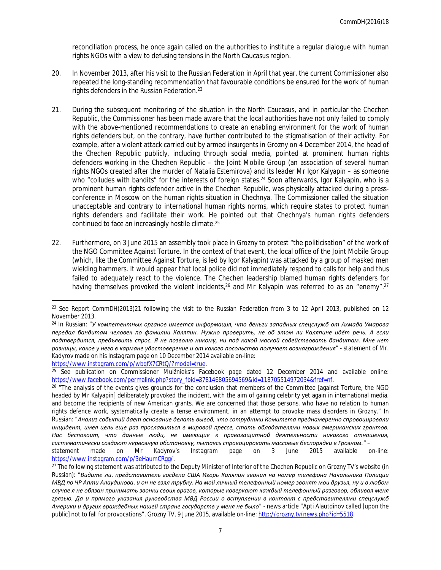reconciliation process, he once again called on the authorities to institute a regular dialogue with human rights NGOs with a view to defusing tensions in the North Caucasus region.

- 20. In November 2013, after his visit to the Russian Federation in April that year, the current Commissioner also repeated the long-standing recommendation that favourable conditions be ensured for the work of human rights defenders in the Russian Federation.<sup>23</sup>
- 21. During the subsequent monitoring of the situation in the North Caucasus, and in particular the Chechen Republic, the Commissioner has been made aware that the local authorities have not only failed to comply with the above-mentioned recommendations to create an enabling environment for the work of human rights defenders but, on the contrary, have further contributed to the stigmatisation of their activity. For example, after a violent attack carried out by armed insurgents in Grozny on 4 December 2014, the head of the Chechen Republic publicly, including through social media, pointed at prominent human rights defenders working in the Chechen Republic – the Joint Mobile Group (an association of several human rights NGOs created after the murder of Natalia Estemirova) and its leader Mr Igor Kalyapin – as someone who "colludes with bandits" for the interests of foreign states.<sup>24</sup> Soon afterwards, Igor Kalyapin, who is a prominent human rights defender active in the Chechen Republic, was physically attacked during a pressconference in Moscow on the human rights situation in Chechnya. The Commissioner called the situation unacceptable and contrary to international human rights norms, which require states to protect human rights defenders and facilitate their work. He pointed out that Chechnya's human rights defenders continued to face an increasingly hostile climate.<sup>25</sup>
- 22. Furthermore, on 3 June 2015 an assembly took place in Grozny to protest "the politicisation" of the work of the NGO Committee Against Torture. In the context of that event, the local office of the Joint Mobile Group (which, like the Committee Against Torture, is led by Igor Kalyapin) was attacked by a group of masked men wielding hammers. It would appear that local police did not immediately respond to calls for help and thus failed to adequately react to the violence. The Chechen leadership blamed human rights defenders for having themselves provoked the violent incidents, <sup>26</sup> and Mr Kalyapin was referred to as an "enemy".<sup>27</sup>

<https://www.instagram.com/p/wbqfX7CRtQ/?modal=true>.

<sup>&</sup>lt;sup>23</sup> See Report CommDH(2013)21 following the visit to the Russian Federation from 3 to 12 April 2013, published on 12 November 2013.

<sup>24</sup> In Russian: "*У компетентных органов имеется информация, что деньги западных спецслужб от Ахмада Умарова передал бандитам человек по фамилии Каляпин. Нужно проверить, не об этом ли Каляпине идёт речь. А если подтвердится, предъявить спрос. Я не позволю никому, ни под какой маской содействовать бандитам. Мне нет разницы, какое у него в кармане удостоверение и от какого посольства получает вознаграждения*" - statement of Mr. Kadyrov made on his *Instagram* page on 10 December 2014 available on-line:

<sup>&</sup>lt;sup>25</sup> See publication on Commissioner Muižnieks's Facebook page dated 12 December 2014 and available online: [https://www.facebook.com/permalink.php?story\\_fbid=378146805694569&id=118705514972034&fref=nf.](https://www.facebook.com/permalink.php?story_fbid=378146805694569&id=118705514972034&fref=nf)

<sup>&</sup>lt;sup>26</sup> "The analysis of the events gives grounds for the conclusion that members of the Committee [against Torture, the NGO headed by Mr Kalyapin] deliberately provoked the incident, with the aim of gaining celebrity yet again in international media, and become the recipients of new American grants. We are concerned that those persons, who have no relation to human rights defence work, systematically create a tense environment, in an attempt to provoke mass disorders in Grozny." In Russian: "*Анализ событий дает основание делать вывод, что сотрудники Комитета преднамеренно спровоцировали инцидент, имея цель еще раз прославиться в мировой прессе, стать обладателями новых американских грантов. Нас беспокоит, что данные люди, не имеющие к правозащитной деятельности никакого отношения, систематически создают нервозную обстановку, пытаясь спровоцировать массовые беспорядки в Грозном."* –

statement made on Mr Kadyrov's *Instagram* page on 3 June 2015 available on-line: [https://www.instagram.com/p/3eHaumCRgg/.](https://www.instagram.com/p/3eHaumCRgg/)

<sup>&</sup>lt;sup>27</sup> The following statement was attributed to the Deputy Minister of Interior of the Chechen Republic on Grozny TV's website (in Russian): "*Видите ли, представитель госдепа США Игорь Каляпин звонил на номер телефона Начальника Полиции* МВД по ЧР Апти Алаудинова, и он не взял трубку. На мой личный телефонный номер звонят мои друзья, ну и в любом *случае я не обязан принимать звонки своих врагов, которые коверкают каждый телефонный разговор, обливая меня грязью. Да и прямого указания руководства МВД России о вступлении в контакт с представителями спецслужб Америки и других враждебных нашей стране государств у меня не было*" - news article "Apti Alautdinov called [upon the public] not to fall for provocations", Grozny TV, 9 June 2015, available on-line: <http://grozny.tv/news.php?id=5518>.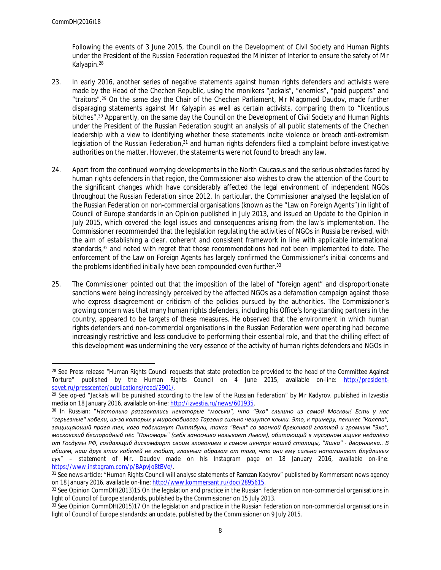Following the events of 3 June 2015, the Council on the Development of Civil Society and Human Rights under the President of the Russian Federation requested the Minister of Interior to ensure the safety of Mr Kalyapin.<sup>28</sup>

- 23. In early 2016, another series of negative statements against human rights defenders and activists were made by the Head of the Chechen Republic, using the monikers "jackals", "enemies", "paid puppets" and "traitors".<sup>29</sup> On the same day the Chair of the Chechen Parliament, Mr Magomed Daudov, made further disparaging statements against Mr Kalyapin as well as certain activists, comparing them to "licentious bitches".<sup>30</sup> Apparently, on the same day the Council on the Development of Civil Society and Human Rights under the President of the Russian Federation sought an analysis of all public statements of the Chechen leadership with a view to identifying whether these statements incite violence or breach anti-extremism legislation of the Russian Federation,<sup>31</sup> and human rights defenders filed a complaint before investigative authorities on the matter. However, the statements were not found to breach any law.
- 24. Apart from the continued worrying developments in the North Caucasus and the serious obstacles faced by human rights defenders in that region, the Commissioner also wishes to draw the attention of the Court to the significant changes which have considerably affected the legal environment of independent NGOs throughout the Russian Federation since 2012. In particular, the Commissioner analysed the legislation of the Russian Federation on non-commercial organisations (known as the "Law on Foreign Agents") in light of Council of Europe standards in an Opinion published in July 2013, and issued an Update to the Opinion in July 2015, which covered the legal issues and consequences arising from the law's implementation. The Commissioner recommended that the legislation regulating the activities of NGOs in Russia be revised, with the aim of establishing a clear, coherent and consistent framework in line with applicable international standards,<sup>32</sup> and noted with regret that those recommendations had not been implemented to date. The enforcement of the Law on Foreign Agents has largely confirmed the Commissioner's initial concerns and the problems identified initially have been compounded even further.<sup>33</sup>
- 25. The Commissioner pointed out that the imposition of the label of "foreign agent" and disproportionate sanctions were being increasingly perceived by the affected NGOs as a defamation campaign against those who express disagreement or criticism of the policies pursued by the authorities. The Commissioner's growing concern was that many human rights defenders, including his Office's long-standing partners in the country, appeared to be targets of these measures. He observed that the environment in which human rights defenders and non-commercial organisations in the Russian Federation were operating had become increasingly restrictive and less conducive to performing their essential role, and that the chilling effect of this development was undermining the very essence of the activity of human rights defenders and NGOs in

<sup>&</sup>lt;sup>28</sup> See Press release "Human Rights Council requests that state protection be provided to the head of the Committee Against Torture" published by the Human Rights Council on 4 June 2015, available on-line: [http://president](http://president-sovet.ru/presscenter/publications/read/2901/)[sovet.ru/presscenter/publications/read/2901/.](http://president-sovet.ru/presscenter/publications/read/2901/)

<sup>29</sup> See op-ed "Jackals will be punished according to the law of the Russian Federation" by Mr Kadyrov, published in *Izvestia* media on 18 January 2016, available on-line: <http://izvestia.ru/news/601935>.

<sup>30</sup> In Russian: "*Настолько разгавкались некоторые "моськи", что "Эхо" слышно из самой Москвы! Есть у нас "серьезные" кобели, из-за которых у миролюбивого Тарзана сильно чешутся клыки. Это, к примеру, пекинес "Каляпа", защищающий права тех, кого подскажут Питтбули, такса "Веня" со звонкой брехливой глоткой и громким "Эхо", московский беспородный пёс "Пономарь" (себя заносчиво называет Львом), обитающий в мусорном ящике недалёко от Госдумы РФ, создающий дискомфорт своим зловонием в самом центре нашей столицы, "Яшка" - дворняжка.. В общем, наш друг этих кобелей не любит, главным образом от того, что они ему сильно напоминают блудливых сук*" – statement of Mr. Daudov made on his *Instagram* page on 18 January 2016, available on-line: <https://www.instagram.com/p/BApvJo8tBVe/>.

<sup>31</sup> See news article: "Human Rights Council will analyse statements of Ramzan Kadyrov" published by *Kommersant* news agency on 18 January 2016, available on-line: [http://www.kommersant.ru/doc/2895615.](http://www.kommersant.ru/doc/2895615)

<sup>32</sup> See Opinion CommDH(2013)15 On the legislation and practice in the Russian Federation on non-commercial organisations in light of Council of Europe standards, published by the Commissioner on 15 July 2013.

<sup>33</sup> See Opinion CommDH(2015)17 On the legislation and practice in the Russian Federation on non-commercial organisations in light of Council of Europe standards: an update, published by the Commissioner on 9 July 2015.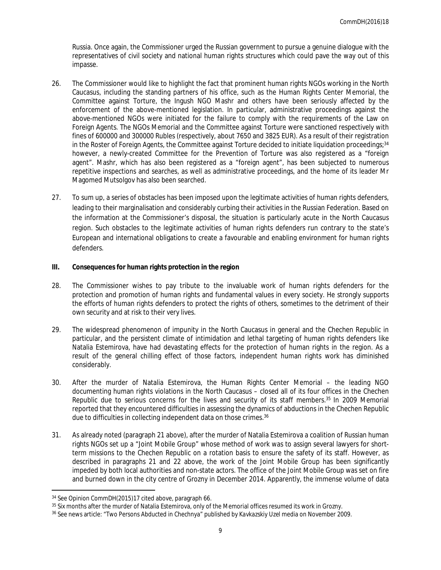Russia. Once again, the Commissioner urged the Russian government to pursue a genuine dialogue with the representatives of civil society and national human rights structures which could pave the way out of this impasse.

- 26. The Commissioner would like to highlight the fact that prominent human rights NGOs working in the North Caucasus, including the standing partners of his office, such as the Human Rights Center Memorial, the Committee against Torture, the Ingush NGO Mashr and others have been seriously affected by the enforcement of the above-mentioned legislation. In particular, administrative proceedings against the above-mentioned NGOs were initiated for the failure to comply with the requirements of the Law on Foreign Agents. The NGOs Memorial and the Committee against Torture were sanctioned respectively with fines of 600000 and 300000 Rubles (respectively, about 7650 and 3825 EUR). As a result of their registration in the Roster of Foreign Agents, the Committee against Torture decided to initiate liquidation proceedings;<sup>34</sup> however, a newly-created Committee for the Prevention of Torture was also registered as a "foreign agent". Mashr, which has also been registered as a "foreign agent", has been subjected to numerous repetitive inspections and searches, as well as administrative proceedings, and the home of its leader Mr Magomed Mutsolgov has also been searched.
- 27. To sum up, a series of obstacles has been imposed upon the legitimate activities of human rights defenders, leading to their marginalisation and considerably curbing their activities in the Russian Federation. Based on the information at the Commissioner's disposal, the situation is particularly acute in the North Caucasus region. Such obstacles to the legitimate activities of human rights defenders run contrary to the state's European and international obligations to create a favourable and enabling environment for human rights defenders.
- **III. Consequences for human rights protection in the region**
- 28. The Commissioner wishes to pay tribute to the invaluable work of human rights defenders for the protection and promotion of human rights and fundamental values in every society. He strongly supports the efforts of human rights defenders to protect the rights of others, sometimes to the detriment of their own security and at risk to their very lives.
- 29. The widespread phenomenon of impunity in the North Caucasus in general and the Chechen Republic in particular, and the persistent climate of intimidation and lethal targeting of human rights defenders like Natalia Estemirova, have had devastating effects for the protection of human rights in the region. As a result of the general chilling effect of those factors, independent human rights work has diminished considerably.
- 30. After the murder of Natalia Estemirova, the Human Rights Center Memorial the leading NGO documenting human rights violations in the North Caucasus – closed all of its four offices in the Chechen Republic due to serious concerns for the lives and security of its staff members.<sup>35</sup> In 2009 Memorial reported that they encountered difficulties in assessing the dynamics of abductions in the Chechen Republic due to difficulties in collecting independent data on those crimes.<sup>36</sup>
- 31. As already noted (paragraph 21 above), after the murder of Natalia Estemirova a coalition of Russian human rights NGOs set up a "Joint Mobile Group" whose method of work was to assign several lawyers for shortterm missions to the Chechen Republic on a rotation basis to ensure the safety of its staff. However, as described in paragraphs 21 and 22 above, the work of the Joint Mobile Group has been significantly impeded by both local authorities and non-state actors. The office of the Joint Mobile Group was set on fire and burned down in the city centre of Grozny in December 2014. Apparently, the immense volume of data

<sup>34</sup> See Opinion CommDH(2015)17 cited above, paragraph 66.

<sup>35</sup> Six months after the murder of Natalia Estemirova, only of the Memorial offices resumed its work in Grozny.

<sup>36</sup> See news article: "Two Persons Abducted in Chechnya" published by *Kavkazskiy Uzel* media on November 2009.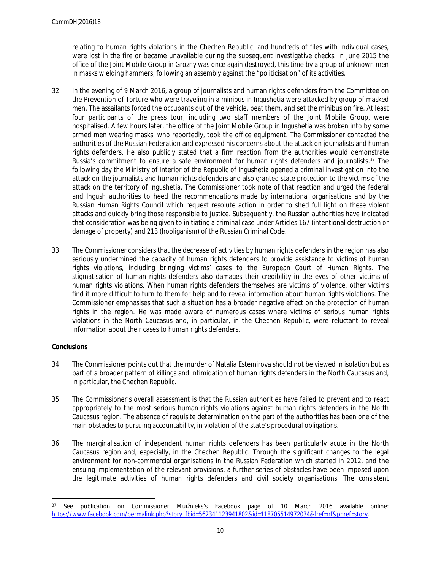relating to human rights violations in the Chechen Republic, and hundreds of files with individual cases, were lost in the fire or became unavailable during the subsequent investigative checks. In June 2015 the office of the Joint Mobile Group in Grozny was once again destroyed, this time by a group of unknown men in masks wielding hammers, following an assembly against the "politicisation" of its activities.

- 32. In the evening of 9 March 2016, a group of journalists and human rights defenders from the Committee on the Prevention of Torture who were traveling in a minibus in Ingushetia were attacked by group of masked men. The assailants forced the occupants out of the vehicle, beat them, and set the minibus on fire. At least four participants of the press tour, including two staff members of the Joint Mobile Group, were hospitalised. A few hours later, the office of the Joint Mobile Group in Ingushetia was broken into by some armed men wearing masks, who reportedly, took the office equipment. The Commissioner contacted the authorities of the Russian Federation and expressed his concerns about the attack on journalists and human rights defenders. He also publicly stated that a firm reaction from the authorities would demonstrate Russia's commitment to ensure a safe environment for human rights defenders and journalists.<sup>37</sup> The following day the Ministry of Interior of the Republic of Ingushetia opened a criminal investigation into the attack on the journalists and human rights defenders and also granted state protection to the victims of the attack on the territory of Ingushetia. The Commissioner took note of that reaction and urged the federal and Ingush authorities to heed the recommendations made by international organisations and by the Russian Human Rights Council which request resolute action in order to shed full light on these violent attacks and quickly bring those responsible to justice. Subsequently, the Russian authorities have indicated that consideration was being given to initiating a criminal case under Articles 167 (intentional destruction or damage of property) and 213 (hooliganism) of the Russian Criminal Code.
- 33. The Commissioner considers that the decrease of activities by human rights defenders in the region has also seriously undermined the capacity of human rights defenders to provide assistance to victims of human rights violations, including bringing victims' cases to the European Court of Human Rights. The stigmatisation of human rights defenders also damages their credibility in the eyes of other victims of human rights violations. When human rights defenders themselves are victims of violence, other victims find it more difficult to turn to them for help and to reveal information about human rights violations. The Commissioner emphasises that such a situation has a broader negative effect on the protection of human rights in the region. He was made aware of numerous cases where victims of serious human rights violations in the North Caucasus and, in particular, in the Chechen Republic, were reluctant to reveal information about their cases to human rights defenders.

## **Conclusions**

- 34. The Commissioner points out that the murder of Natalia Estemirova should not be viewed in isolation but as part of a broader pattern of killings and intimidation of human rights defenders in the North Caucasus and, in particular, the Chechen Republic.
- 35. The Commissioner's overall assessment is that the Russian authorities have failed to prevent and to react appropriately to the most serious human rights violations against human rights defenders in the North Caucasus region. The absence of requisite determination on the part of the authorities has been one of the main obstacles to pursuing accountability, in violation of the state's procedural obligations.
- 36. The marginalisation of independent human rights defenders has been particularly acute in the North Caucasus region and, especially, in the Chechen Republic. Through the significant changes to the legal environment for non-commercial organisations in the Russian Federation which started in 2012, and the ensuing implementation of the relevant provisions, a further series of obstacles have been imposed upon the legitimate activities of human rights defenders and civil society organisations. The consistent

<sup>37</sup> See publication on Commissioner Muižnieks's Facebook page of 10 March 2016 available online: [https://www.facebook.com/permalink.php?story\\_fbid=562341123941802&id=118705514972034&fref=nf&pnref=story.](https://www.facebook.com/permalink.php?story_fbid=562341123941802&id=118705514972034&fref=nf&pnref=story)